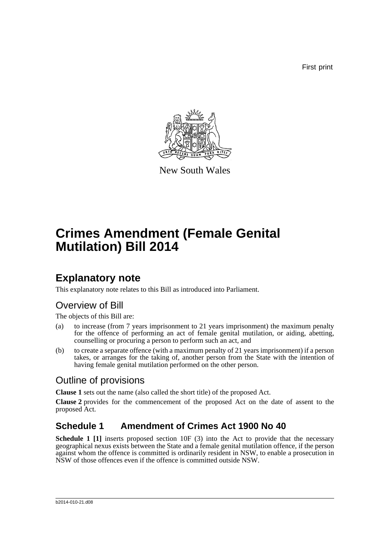First print



New South Wales

# **Crimes Amendment (Female Genital Mutilation) Bill 2014**

## **Explanatory note**

This explanatory note relates to this Bill as introduced into Parliament.

## Overview of Bill

The objects of this Bill are:

- (a) to increase (from 7 years imprisonment to 21 years imprisonment) the maximum penalty for the offence of performing an act of female genital mutilation, or aiding, abetting, counselling or procuring a person to perform such an act, and
- (b) to create a separate offence (with a maximum penalty of 21 years imprisonment) if a person takes, or arranges for the taking of, another person from the State with the intention of having female genital mutilation performed on the other person.

### Outline of provisions

**Clause 1** sets out the name (also called the short title) of the proposed Act.

**Clause 2** provides for the commencement of the proposed Act on the date of assent to the proposed Act.

### **Schedule 1 Amendment of Crimes Act 1900 No 40**

**Schedule 1 [1]** inserts proposed section 10F (3) into the Act to provide that the necessary geographical nexus exists between the State and a female genital mutilation offence, if the person against whom the offence is committed is ordinarily resident in NSW, to enable a prosecution in NSW of those offences even if the offence is committed outside NSW.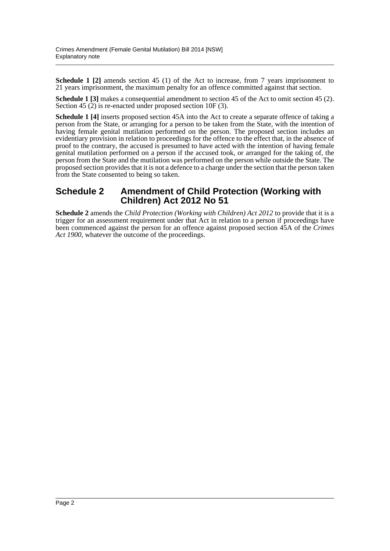**Schedule 1 [2]** amends section 45 (1) of the Act to increase, from 7 years imprisonment to 21 years imprisonment, the maximum penalty for an offence committed against that section.

**Schedule 1** [3] makes a consequential amendment to section 45 of the Act to omit section 45 (2). Section 45 (2) is re-enacted under proposed section 10F (3).

**Schedule 1 [4]** inserts proposed section 45A into the Act to create a separate offence of taking a person from the State, or arranging for a person to be taken from the State, with the intention of having female genital mutilation performed on the person. The proposed section includes an evidentiary provision in relation to proceedings for the offence to the effect that, in the absence of proof to the contrary, the accused is presumed to have acted with the intention of having female genital mutilation performed on a person if the accused took, or arranged for the taking of, the person from the State and the mutilation was performed on the person while outside the State. The proposed section provides that it is not a defence to a charge under the section that the person taken from the State consented to being so taken.

#### **Schedule 2 Amendment of Child Protection (Working with Children) Act 2012 No 51**

**Schedule 2** amends the *Child Protection (Working with Children) Act 2012* to provide that it is a trigger for an assessment requirement under that Act in relation to a person if proceedings have been commenced against the person for an offence against proposed section 45A of the *Crimes Act 1900*, whatever the outcome of the proceedings.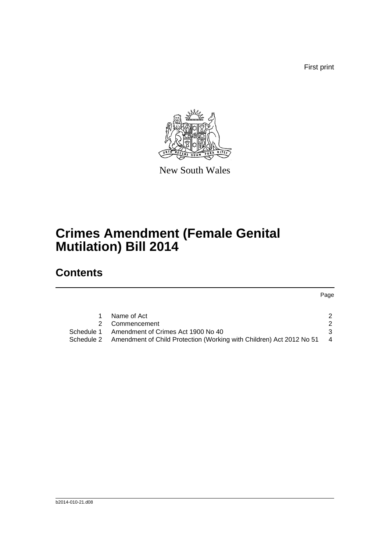First print



New South Wales

# **Crimes Amendment (Female Genital Mutilation) Bill 2014**

## **Contents**

|            | Name of Act                                                          |                |
|------------|----------------------------------------------------------------------|----------------|
|            | 2 Commencement                                                       |                |
| Schedule 1 | Amendment of Crimes Act 1900 No 40                                   |                |
| Schedule 2 | Amendment of Child Protection (Working with Children) Act 2012 No 51 | $\overline{4}$ |
|            |                                                                      |                |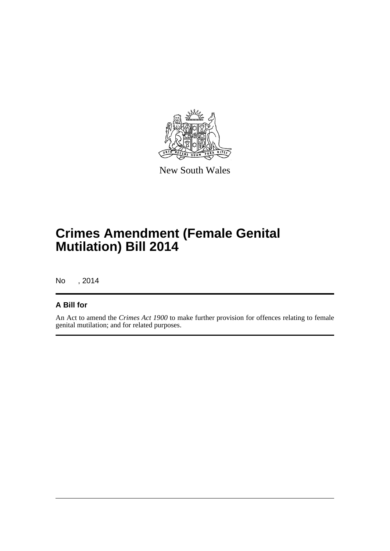

New South Wales

# **Crimes Amendment (Female Genital Mutilation) Bill 2014**

No , 2014

#### **A Bill for**

An Act to amend the *Crimes Act 1900* to make further provision for offences relating to female genital mutilation; and for related purposes.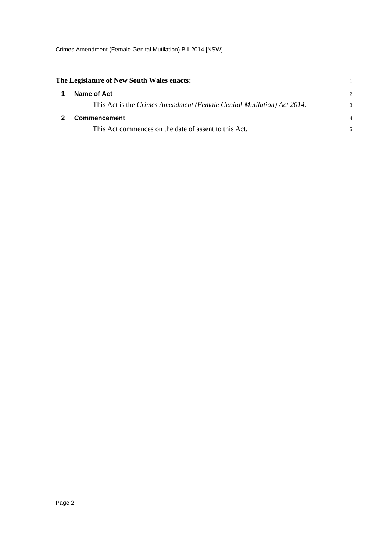<span id="page-4-1"></span><span id="page-4-0"></span>

| The Legislature of New South Wales enacts:                             |               |
|------------------------------------------------------------------------|---------------|
| Name of Act                                                            | $\mathcal{P}$ |
| This Act is the Crimes Amendment (Female Genital Mutilation) Act 2014. | 3             |
| Commencement                                                           |               |
| This Act commences on the date of assent to this Act.                  | 5             |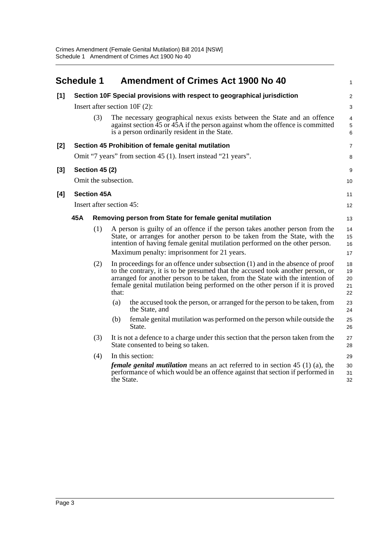<span id="page-5-0"></span>

|       | <b>Schedule 1</b>                                              |                          |            | <b>Amendment of Crimes Act 1900 No 40</b>                                                                                                                                                                                                                                                                                            | 1                                 |  |
|-------|----------------------------------------------------------------|--------------------------|------------|--------------------------------------------------------------------------------------------------------------------------------------------------------------------------------------------------------------------------------------------------------------------------------------------------------------------------------------|-----------------------------------|--|
| $[1]$ |                                                                |                          |            | Section 10F Special provisions with respect to geographical jurisdiction                                                                                                                                                                                                                                                             | 2                                 |  |
|       | Insert after section $10F(2)$ :                                |                          |            |                                                                                                                                                                                                                                                                                                                                      | 3                                 |  |
|       |                                                                | (3)                      |            | The necessary geographical nexus exists between the State and an offence<br>against section 45 or 45A if the person against whom the offence is committed<br>is a person ordinarily resident in the State.                                                                                                                           | $\overline{4}$<br>$\sqrt{5}$<br>6 |  |
| [2]   | Section 45 Prohibition of female genital mutilation            |                          |            |                                                                                                                                                                                                                                                                                                                                      |                                   |  |
|       | Omit "7 years" from section 45 (1). Insert instead "21 years". |                          |            |                                                                                                                                                                                                                                                                                                                                      |                                   |  |
| $[3]$ |                                                                | <b>Section 45 (2)</b>    |            |                                                                                                                                                                                                                                                                                                                                      | 9                                 |  |
|       | Omit the subsection.                                           |                          |            |                                                                                                                                                                                                                                                                                                                                      |                                   |  |
| [4]   | <b>Section 45A</b>                                             |                          |            |                                                                                                                                                                                                                                                                                                                                      | 11                                |  |
|       |                                                                | Insert after section 45: |            |                                                                                                                                                                                                                                                                                                                                      | 12                                |  |
|       | 45A                                                            |                          |            | Removing person from State for female genital mutilation                                                                                                                                                                                                                                                                             | 13                                |  |
|       |                                                                | (1)                      |            | A person is guilty of an offence if the person takes another person from the<br>State, or arranges for another person to be taken from the State, with the<br>intention of having female genital mutilation performed on the other person.                                                                                           | 14<br>15<br>16                    |  |
|       |                                                                |                          |            | Maximum penalty: imprisonment for 21 years.                                                                                                                                                                                                                                                                                          | 17                                |  |
|       |                                                                | (2)                      | that:      | In proceedings for an offence under subsection $(1)$ and in the absence of proof<br>to the contrary, it is to be presumed that the accused took another person, or<br>arranged for another person to be taken, from the State with the intention of<br>female genital mutilation being performed on the other person if it is proved | 18<br>19<br>20<br>21<br>22        |  |
|       |                                                                |                          | (a)        | the accused took the person, or arranged for the person to be taken, from<br>the State, and                                                                                                                                                                                                                                          | 23<br>24                          |  |
|       |                                                                |                          | (b)        | female genital mutilation was performed on the person while outside the<br>State.                                                                                                                                                                                                                                                    | 25<br>26                          |  |
|       |                                                                | (3)                      |            | It is not a defence to a charge under this section that the person taken from the<br>State consented to being so taken.                                                                                                                                                                                                              | 27<br>28                          |  |
|       |                                                                | (4)                      |            | In this section:                                                                                                                                                                                                                                                                                                                     | 29                                |  |
|       |                                                                |                          | the State. | <i>female genital mutilation</i> means an act referred to in section 45 (1) (a), the<br>performance of which would be an offence against that section if performed in                                                                                                                                                                | 30<br>31<br>32                    |  |